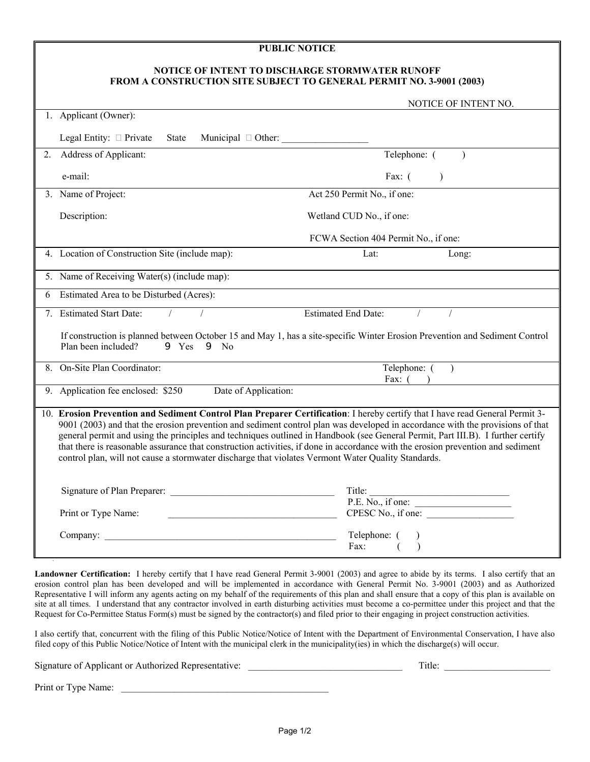#### **PUBLIC NOTICE**

#### **NOTICE OF INTENT TO DISCHARGE STORMWATER RUNOFF FROM A CONSTRUCTION SITE SUBJECT TO GENERAL PERMIT NO. 3-9001 (2003)**

|    |                                                                                                                                                                                                                                                                                                                                                                                                                                                                                                                                                                                                                                           | NOTICE OF INTENT NO.                 |  |
|----|-------------------------------------------------------------------------------------------------------------------------------------------------------------------------------------------------------------------------------------------------------------------------------------------------------------------------------------------------------------------------------------------------------------------------------------------------------------------------------------------------------------------------------------------------------------------------------------------------------------------------------------------|--------------------------------------|--|
|    | 1. Applicant (Owner):                                                                                                                                                                                                                                                                                                                                                                                                                                                                                                                                                                                                                     |                                      |  |
|    | Legal Entity: $\Box$ Private<br>State                                                                                                                                                                                                                                                                                                                                                                                                                                                                                                                                                                                                     |                                      |  |
| 2. | Address of Applicant:                                                                                                                                                                                                                                                                                                                                                                                                                                                                                                                                                                                                                     | Telephone: (<br>$\mathcal{E}$        |  |
|    | e-mail:                                                                                                                                                                                                                                                                                                                                                                                                                                                                                                                                                                                                                                   | Fax: $($                             |  |
|    | 3. Name of Project:                                                                                                                                                                                                                                                                                                                                                                                                                                                                                                                                                                                                                       | Act 250 Permit No., if one:          |  |
|    | Description:                                                                                                                                                                                                                                                                                                                                                                                                                                                                                                                                                                                                                              | Wetland CUD No., if one:             |  |
|    |                                                                                                                                                                                                                                                                                                                                                                                                                                                                                                                                                                                                                                           | FCWA Section 404 Permit No., if one: |  |
|    | 4. Location of Construction Site (include map):                                                                                                                                                                                                                                                                                                                                                                                                                                                                                                                                                                                           | Lat:<br>Long:                        |  |
|    | 5. Name of Receiving Water(s) (include map):                                                                                                                                                                                                                                                                                                                                                                                                                                                                                                                                                                                              |                                      |  |
| 6  | Estimated Area to be Disturbed (Acres):                                                                                                                                                                                                                                                                                                                                                                                                                                                                                                                                                                                                   |                                      |  |
|    | 7. Estimated Start Date:                                                                                                                                                                                                                                                                                                                                                                                                                                                                                                                                                                                                                  | Estimated End Date:                  |  |
|    | If construction is planned between October 15 and May 1, has a site-specific Winter Erosion Prevention and Sediment Control<br>Plan been included?<br>$9$ Yes $9$ No                                                                                                                                                                                                                                                                                                                                                                                                                                                                      |                                      |  |
|    | 8. On-Site Plan Coordinator:                                                                                                                                                                                                                                                                                                                                                                                                                                                                                                                                                                                                              | Telephone: $($ )<br>Fax: $($         |  |
|    | 9. Application fee enclosed: \$250<br>Date of Application:                                                                                                                                                                                                                                                                                                                                                                                                                                                                                                                                                                                |                                      |  |
|    | 10. Erosion Prevention and Sediment Control Plan Preparer Certification: I hereby certify that I have read General Permit 3-<br>9001 (2003) and that the erosion prevention and sediment control plan was developed in accordance with the provisions of that<br>general permit and using the principles and techniques outlined in Handbook (see General Permit, Part III.B). I further certify<br>that there is reasonable assurance that construction activities, if done in accordance with the erosion prevention and sediment<br>control plan, will not cause a stormwater discharge that violates Vermont Water Quality Standards. |                                      |  |
|    |                                                                                                                                                                                                                                                                                                                                                                                                                                                                                                                                                                                                                                           | Title: $P.E. No., if one:$           |  |
|    | Print or Type Name:                                                                                                                                                                                                                                                                                                                                                                                                                                                                                                                                                                                                                       | CPESC No., if one:                   |  |
|    |                                                                                                                                                                                                                                                                                                                                                                                                                                                                                                                                                                                                                                           | Telephone: (<br>Fax:                 |  |

**Landowner Certification:** I hereby certify that I have read General Permit 3-9001 (2003) and agree to abide by its terms. I also certify that an erosion control plan has been developed and will be implemented in accordance with General Permit No. 3-9001 (2003) and as Authorized Representative I will inform any agents acting on my behalf of the requirements of this plan and shall ensure that a copy of this plan is available on site at all times. I understand that any contractor involved in earth disturbing activities must become a co-permittee under this project and that the Request for Co-Permittee Status Form(s) must be signed by the contractor(s) and filed prior to their engaging in project construction activities.

I also certify that, concurrent with the filing of this Public Notice/Notice of Intent with the Department of Environmental Conservation, I have also filed copy of this Public Notice/Notice of Intent with the municipal clerk in the municipality(ies) in which the discharge(s) will occur.

Signature of Applicant or Authorized Representative: \_\_\_\_\_\_\_\_\_\_\_\_\_\_\_\_\_\_\_\_\_\_\_\_\_\_\_\_\_\_\_\_ Title: \_\_\_\_\_\_\_\_\_\_\_\_\_\_\_\_\_\_\_\_\_\_

Print or Type Name: